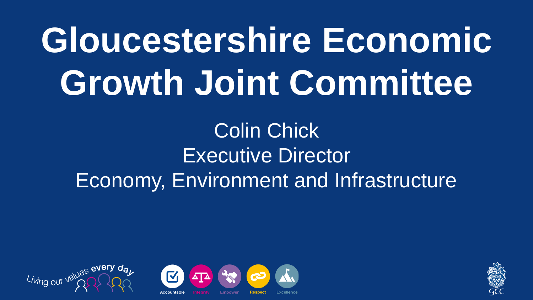# **Gloucestershire Economic Growth Joint Committee**

Colin Chick Executive Director Economy, Environment and Infrastructure





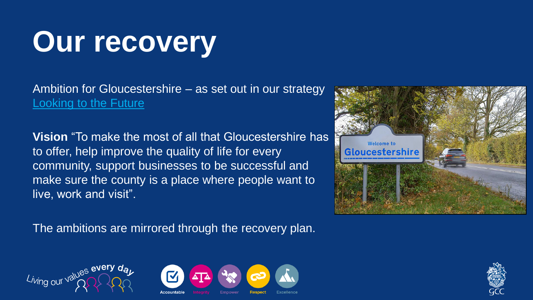## **Our recovery**

Ambition for Gloucestershire – as set out in our strategy [Looking to the Future](https://www.gloucestershire.gov.uk/media/2083042/gcc_2325-council-strategy-2019_dev20.pdf)

**Vision** "To make the most of all that Gloucestershire has to offer, help improve the quality of life for every community, support businesses to be successful and make sure the county is a place where people want to live, work and visit".

The ambitions are mirrored through the recovery plan.







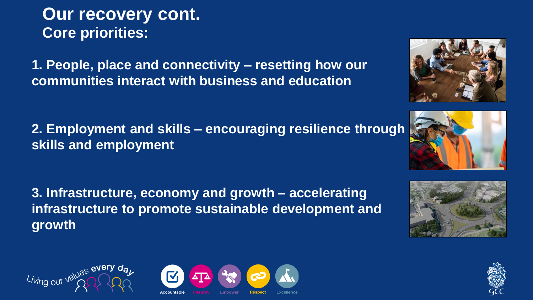**Our recovery cont. Core priorities:**

**1. People, place and connectivity – resetting how our communities interact with business and education**

**2. Employment and skills – encouraging resilience through skills and employment**

**3. Infrastructure, economy and growth – accelerating infrastructure to promote sustainable development and growth**









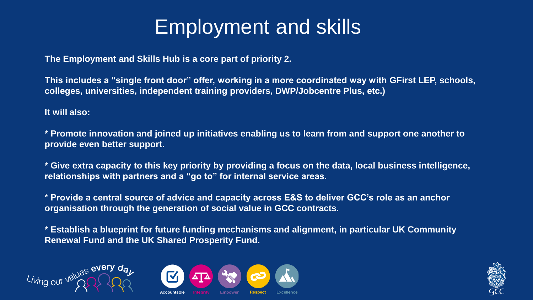### Employment and skills

**The Employment and Skills Hub is a core part of priority 2.** 

**This includes a "single front door" offer, working in a more coordinated way with GFirst LEP, schools, colleges, universities, independent training providers, DWP/Jobcentre Plus, etc.)**

**It will also:**

**\* Promote innovation and joined up initiatives enabling us to learn from and support one another to provide even better support.**

**\* Give extra capacity to this key priority by providing a focus on the data, local business intelligence, relationships with partners and a "go to" for internal service areas.**

**\* Provide a central source of advice and capacity across E&S to deliver GCC's role as an anchor organisation through the generation of social value in GCC contracts.** 

**\* Establish a blueprint for future funding mechanisms and alignment, in particular UK Community Renewal Fund and the UK Shared Prosperity Fund.**





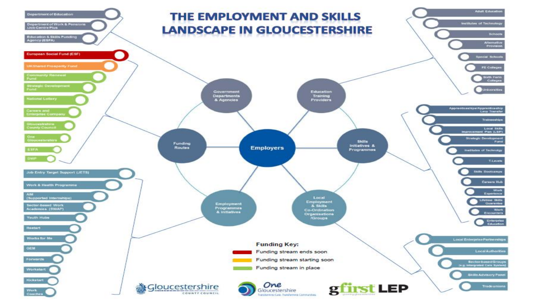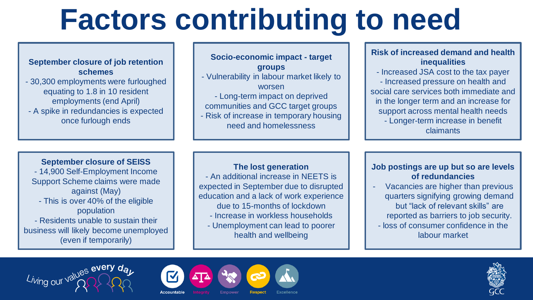## **Factors contributing to need**

#### **September closure of job retention schemes**

- 30,300 employments were furloughed equating to 1.8 in 10 resident employments (end April)
- A spike in redundancies is expected once furlough ends

#### **Socio-economic impact - target groups** - Vulnerability in labour market likely to worsen - Long-term impact on deprived communities and GCC target groups - Risk of increase in temporary housing need and homelessness

#### **Risk of increased demand and health inequalities**

- Increased JSA cost to the tax payer - Increased pressure on health and social care services both immediate and in the longer term and an increase for support across mental health needs - Longer-term increase in benefit claimants

#### **September closure of SEISS**

- 14,900 Self-Employment Income Support Scheme claims were made against (May) - This is over 40% of the eligible population - Residents unable to sustain their business will likely become unemployed (even if temporarily)

#### **The lost generation**

- An additional increase in NEETS is expected in September due to disrupted education and a lack of work experience due to 15-months of lockdown

- Increase in workless households
- Unemployment can lead to poorer health and wellbeing

#### **Job postings are up but so are levels of redundancies**

- Vacancies are higher than previous quarters signifying growing demand but "lack of relevant skills" are reported as barriers to job security. - loss of consumer confidence in the labour market





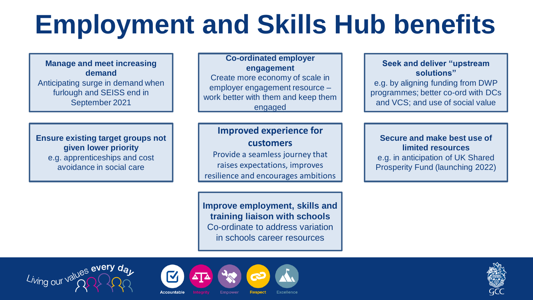### **Employment and Skills Hub benefits**

**Manage and meet increasing demand** Anticipating surge in demand when furlough and SEISS end in September 2021

**Ensure existing target groups not given lower priority** e.g. apprenticeships and cost avoidance in social care

Living our values every day

**Co-ordinated employer engagement** Create more economy of scale in employer engagement resource – work better with them and keep them engaged

**Improved experience for customers** Provide a seamless journey that raises expectations, improves resilience and encourages ambitions

**Improve employment, skills and training liaison with schools** Co-ordinate to address variation in schools career resources

**Seek and deliver "upstream solutions"** e.g. by aligning funding from DWP programmes; better co-ord with DCs and VCS; and use of social value

**Secure and make best use of limited resources** e.g. in anticipation of UK Shared Prosperity Fund (launching 2022)